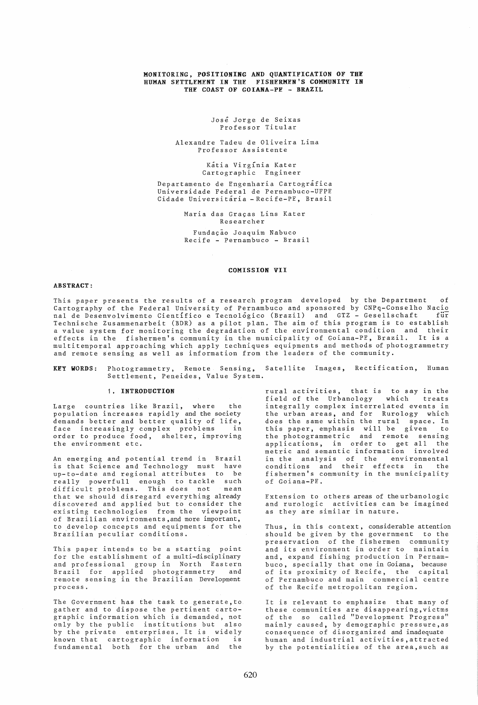#### MONITORING, POSITIONING AND QUANTIFICATION OF THE HUMAN SETTLEMENT IN THE FISHERMEN'S COMMUNITY IN THE COAST OF GOIANA-PE - BRAZIL

Jose Jorge de Seixas Professor Titular

Alexandre Tadeu de Oliveira Lima Professor Assistente

Katia Virginia Kater Cartographic Engineer Departamento de Engenharia Cartográfica Universidade Federal de Pernambuco-UFPE Cidade Universitária - Recife-PE, Brasil

> Maria das Graças Lins Kater Researcher

Fundação Joaquim Nabuco Recife - Pernambuco - Brasil

#### COMISSION VII

#### ABSTRACT:

This paper presents the results of a research program developed by the Department of Cartography of the Federal University of Pernambuco and sponsored by CNPq-Conselho Nacio<br>nal de Desenvolvimento Científico e Tecnológico (Brazil) and GTZ - Gesellschaft für nal de Desenvolvimento Científico e Tecnológico (Brazil) and GTZ - Gesellschaft Technische Zusammenarbeit (BDR) as a pilot plan. The aim of this program is to establish a value system for monitoring the degradation of the environmental condition and their effects in the fishermen's community in the municipality of Goiana-PE, Brazil. It is a multitemporal approaching which apply techniques equipments and methods of photogrammetry and remote sensing as well as information from the leaders of the community.

KEY WORDS: Photogrammetry, Remote Sensing, Satellite Images, Rectification, Human Settlement, Peneides, Value System.

## 1. INTRODUCTION

Large countries like Brazil, where the population increases rapidly and the society demands better and better quality of life, face increasingly complex problems in order to produce food, shelter, improving the environment etc.

An emerging and potential trend in Brazil is that Science and Technology must have up-to-date and regional attributes to be really powerfull enough to tackle such difficult problems. This does not that we should disregard everything already discovered and applied but to consider the existing technologies from the viewpoint of Brazilian environments ,and more important, to develop concepts and equipments for the Brazilian peculiar conditions.

This paper intends to be a starting point for the establishment of a multi-disciplinary and professional group in North Eastern Brazil for applied photogrammetry and remote sensing in the Brazilian Development process.

The Government has the task to generate,to gather and to dispose the pertinent cartographic information which is demanded, not only by the public institutions but also by the private enterprises. It is widely known that cartographic information is fundamental both for the urban and the

rural activities, that is to say in the field of the Urbanology which integrally complex interrelated events in the urban areas, and for Rurology which does the same within the rural space. In this paper, emphasis will be given to the photogrammetric and remote sensing applications, in order to get all the<br>metric and semantic information involved metric and semantic information in the analysis of the environmental conditions and their effects in the fishermen's community in the municipality of Goiana-PE.

Extension to others areas of theurbanologic and rurologic activities can be imagined as they are similar in nature.

Thus, in this context, considerable attention should be given by the government to the preservation of the fishermen community and its environment in order to maintain and, expand fishing production in Pernambuco, specially that one in Goiana, because of its proximity of Recife, the capital of Pernambuco and main commercial centre of the Recife metropolitan region.

It is relevant to emphasize that many of these communities are disappearing,victms of the so called "Development Progress" mainly caused, by demographic pressure,as consequence of disorganized and inadequate human and industrial activities,attracted by the potentialities of the area,such as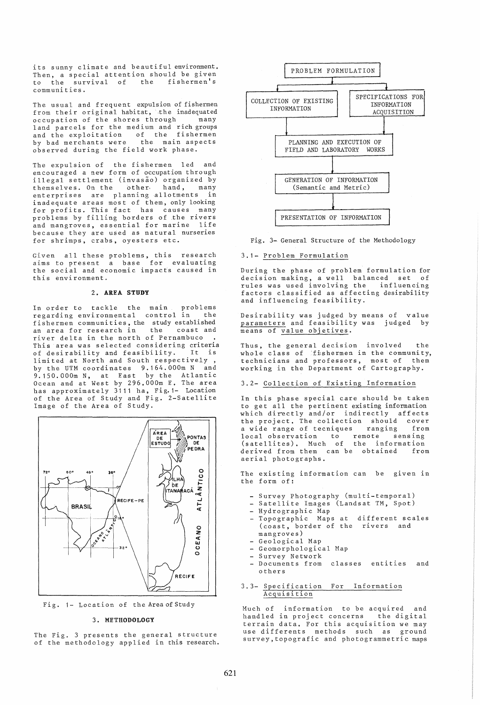its sunny climate and beautiful environment, Then, a special attention should be given<br>to the survival of the fishermen's to the survival of communities.

The usual and frequent expulsion of fishermen from their original habitat, the inadequated<br>occupation of the shores through many occupation of the shores through land parcels for the medium and rich groups and the exploitation of the fishermen<br>by bad merchants were the main aspects by bad merchants were observed during the field work phase.

The expulsion of the fishermen led and encouraged a new form of occupation through illegal settlement (invasão) organized by<br>themselves. On the other hand, many thems elves. On the other, hand, many<br>enterprises are planning allotments in enterprises are planning allotments inadequate areas most of them, only looking for profits. This fact has causes many problems by filling borders of the rivers and mangroves, essential for marine life because they are used as natural nurseries for shrimps, crabs, oyesters etc.

Given all these problems, this research aims to present a base for evaluating the social and economic impacts caused in this environment.

#### 2. AREA STUDY

In order to tackle the main problems<br>regarding environmental control in the regarding environmental control  $in$ fishermen communities, the study established an area for research in river delta in the north of Pernambuco This area was selected considering criteria<br>of desirability and feasibility. It is of desirability and feasibility. limited at North and South respectively, by the UTM coordinates 9.164.000m N and 9.150.000m N, at East by the Atlantic Ocean and at West by 296.000m E. The area has approximately 3111 ha, Fig. 1- Location of the Area of Study and Fig. 2-Satellite Image of the Area of Study.



Fig. 1- Location of the Area of Study

## 3. METHODOLOGY

The Fig. 3 presents the general structure of the methodology applied in this research.





#### 3.1- Problem Formulation

During the phase of problem formulation for decision making, a well balanced set of rules was used involving the influencing factors classified as affecting desirability and influencing feasibility.

Desirability was judged by means of value parameters and feasibility was judged by means of value objetives.

Thus, the general decision involved the whole class of 'fishermen in the community, technicians and professors, most of them working in the Department of Cartography.

## 3.2- Collection of Existing Information

In this phase special care should be taken to get all the pertinent existing information which directly and/or indirectly affects the project. The collection should cover<br>a wide range of tecniques ranging from a wide range of tecniques ranging local observation to remote sensing (satellites). Much of the information derived from them can be obtained from aerial photographs.

The existing information can be given in the form of:

- Survey Photography (multi-temporal)
- Satellite Images (Landsat TM, Spot)
- Hydrographic Map
- Topographic Maps at different scales (coast, border of the rivers and mangroves)
- Geological Map
- Geomorphological Map
- Survey Network
- Documents from classes entities and others

## 3.3- Specification For Information Acquisition

Much of information to be acquired and handled in project concerns the digital terrain data. For this acquisition we may use differents methods such as ground survey,topografic and photogrammetric maps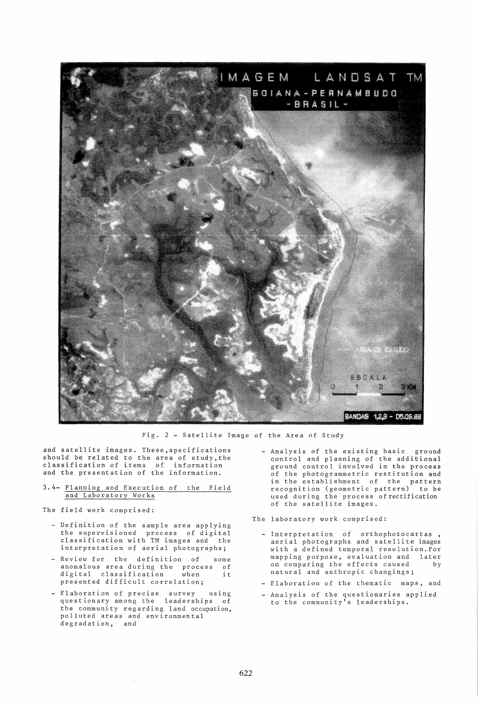

Fig. 2 - Satellite Image of the Area of Study

and satellite images. These,specifications should be related to the area of study,the classification of items of information and the presentation of the information.

- 3.4- Planning and Execution of the Field and Laboratory Works
- The field work comprised:
	- Definition of the sample area applying the supervisioned process of digital classification with TM images and the interpretation of aerial photographs;
	- Review for the definition of some anomalous area during the process of digital classification when it presented difficult correlation;
	- Elaboration of precise survey using questionary among the leaderships of the community regarding land occupation, polluted areas and environmental degradation, and

- Analysis of the existing basic ground control and planning of the additional ground control involved in the process of the photogrammetric restitution and in the establishment of the pattern recognition (geometric pattern) to be used during the process of rectification of the satellite images.

The laboratory work comprised:

- Interpretation of orthophotocartas aerial photographs and satellite images with a defined temporal resolution. For mapping purpose, evaluation and later on comparing the effects caused by natural and anthropic changings;
- Elaboration of the thematic maps, and
- Analysis of the questionaries applied to the community's leaderships.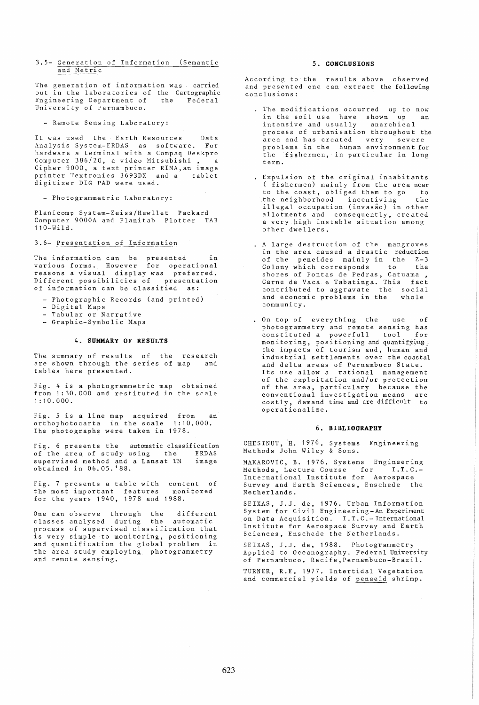#### 3.5- Generation of Information (Semantic and Metric

The generation of information was carried out in the laboratories of the Cartographic<br>Engineering Department of the Federal Engineering Department of University of Pernambuco.

- Remote Sensing Laboratory:

It was used the Earth Resources Data Analysis System-ERDAS as software. For hardware a terminal with a Compaq Deskpro Computer 386/20, a video Mitsubishi, a Cipher 9000, a text printer RIMA,an image printer Textronics 3693DX and a tablet digitizer DIG PAD were used.

- Photogrammetric Laboratory:

Planicomp System-Zeiss/Hewllet Packard Computer 9000A and Planitab Plotter TAB 110-Wild.

## 3.6- Presentation of Information

The information can be presented in various forms. However for operational reasons a visual display was preferred. Different possibilities of presentation of information can be classified as:

- Photographic Records (and printed)
- Digital Maps
- Tabular or Narrative
- Graphic-Symbolic Maps

## 4. SUMMARY OF RESULTS

The summary of results of the research are shown through the series of map and tables here presented.

Fig. 4 is a photogrammetric map obtained from 1:30.000 and restituted in the scale 1 : 10.000.

Fig. 5 is a line map acquired from an orthophotocarta in the scale 1:10.000. The photographs were taken in 1978.

Fig. 6 presents the automatic classification of the area of study using the ERDAS supervised method and a Lansat TM image obtained in 06.05. '88.

Fig. 7 presents a table with content of the most important features monitored for the years 1940, 1978 and 1988.

One can observe through the different classes analysed during the automatic process of supervised classification that is very simple to monitoring, positioning and quantification the global problem in the area study employing photogrammetry and remote sensing.

# 5. CONCLUSIONS

According to the results above observed and presented one can extract the following conclusions:

- The modifications occurred up to now in the soil use have shown up an intensive and usually anarchical process of urbanisation throughout the area and has created very severe problems in the human environment for the fishermen, in particular in long term.
- Expulsion of the original inhabitants ( fishermen) mainly from the area near to the coast, obliged them to go to<br>the neighborhood incentiving the the neighborhood incentiving illegal occupation (invasão) in other allotments and consequently, created a very high instable situation among other dwellers.
- · A large destruction of the mangroves in the area caused a drastic reduction of the peneides mainly in the Z-3 Colony which corresponds to the shores of Pontas de Pedras, Catuama, Carne de Vaca e Tabatinga. This fact contributed to aggravate the social and economic problems in the whole community,
- On top of everything the use of photogrammetry and remote sensing has constituted a powerfull tool for monitoring, positioning and quantifying; the impacts of tourism and, human and industrial settlements over the coastal and delta areas of Pernambuco State. Its use allow a rational management of the exploitation and/or protection of the area, particulary because the conventional investigation means are costly, demand time and are difficult to operationalize.

#### 6, BIBLIOGRAPHY

CHESTNUT, H. 1976. Systems Engineering Methods John Wiley & Sons.

MAKAROVIC, B. 1976. Systems Engineering Methods, Lecture Course for I.T.C.- International Institute for Aerospace Survey and Earth Sciences, Enschede the Netherlands.

SEIXAS, J.J. de, 1976. Urban Information System for Civil Engineering-An Experiment on Data Acquisition. I.T.C.- International Institute for Aerospace Survey and Earth Sciences, Enschede the Netherlands.

SEIXAS, J.J. de, 1988. Photogrammetry Applied to Oceanography, Federal University of Pernambuco. Recife,Pernambuco-Brazil.

TURNER, R.E. 1977. Intertidal Vegetation and commercial yields of penaeid shrimp.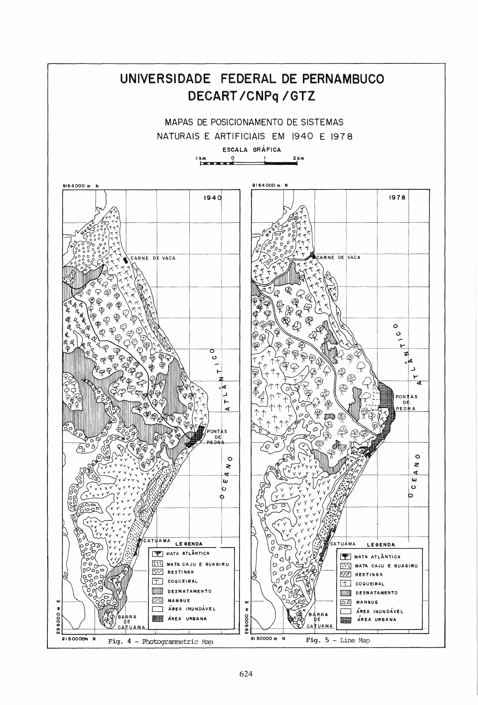